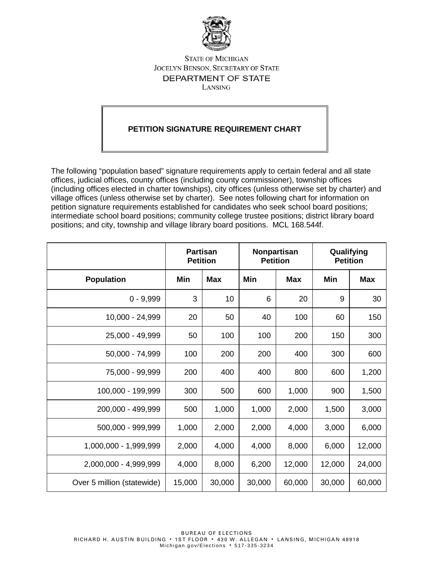

## **STATE OF MICHIGAN** JOCELYN BENSON, SECRETARY OF STATE DEPARTMENT OF STATE LANSING

## **PETITION SIGNATURE REQUIREMENT CHART**

The following "population based" signature requirements apply to certain federal and all state offices, judicial offices, county offices (including county commissioner), township offices (including offices elected in charter townships), city offices (unless otherwise set by charter) and village offices (unless otherwise set by charter). See notes following chart for information on petition signature requirements established for candidates who seek school board positions; intermediate school board positions; community college trustee positions; district library board positions; and city, township and village library board positions. MCL 168.544f.

|                            | <b>Partisan</b><br><b>Petition</b> |            | Nonpartisan<br><b>Petition</b> |            | Qualifying<br><b>Petition</b> |            |
|----------------------------|------------------------------------|------------|--------------------------------|------------|-------------------------------|------------|
| <b>Population</b>          | Min                                | <b>Max</b> | Min                            | <b>Max</b> | Min                           | <b>Max</b> |
| $0 - 9,999$                | 3                                  | 10         | 6                              | 20         | 9                             | 30         |
| 10,000 - 24,999            | 20                                 | 50         | 40                             | 100        | 60                            | 150        |
| 25,000 - 49,999            | 50                                 | 100        | 100                            | 200        | 150                           | 300        |
| 50,000 - 74,999            | 100                                | 200        | 200                            | 400        | 300                           | 600        |
| 75,000 - 99,999            | 200                                | 400        | 400                            | 800        | 600                           | 1,200      |
| 100,000 - 199,999          | 300                                | 500        | 600                            | 1,000      | 900                           | 1,500      |
| 200,000 - 499,999          | 500                                | 1,000      | 1,000                          | 2,000      | 1,500                         | 3,000      |
| 500,000 - 999,999          | 1,000                              | 2,000      | 2,000                          | 4,000      | 3,000                         | 6,000      |
| 1,000,000 - 1,999,999      | 2,000                              | 4,000      | 4,000                          | 8,000      | 6,000                         | 12,000     |
| 2,000,000 - 4,999,999      | 4,000                              | 8,000      | 6,200                          | 12,000     | 12,000                        | 24,000     |
| Over 5 million (statewide) | 15,000                             | 30,000     | 30,000                         | 60,000     | 30,000                        | 60,000     |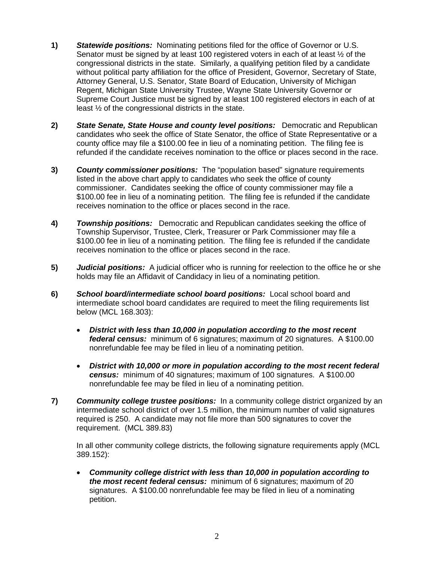- **1)** *Statewide positions:* Nominating petitions filed for the office of Governor or U.S. Senator must be signed by at least 100 registered voters in each of at least ½ of the congressional districts in the state. Similarly, a qualifying petition filed by a candidate without political party affiliation for the office of President, Governor, Secretary of State, Attorney General, U.S. Senator, State Board of Education, University of Michigan Regent, Michigan State University Trustee, Wayne State University Governor or Supreme Court Justice must be signed by at least 100 registered electors in each of at least  $\frac{1}{2}$  of the congressional districts in the state.
- **2)** *State Senate, State House and county level positions:* Democratic and Republican candidates who seek the office of State Senator, the office of State Representative or a county office may file a \$100.00 fee in lieu of a nominating petition. The filing fee is refunded if the candidate receives nomination to the office or places second in the race.
- **3)** *County commissioner positions:* The "population based" signature requirements listed in the above chart apply to candidates who seek the office of county commissioner. Candidates seeking the office of county commissioner may file a \$100.00 fee in lieu of a nominating petition. The filing fee is refunded if the candidate receives nomination to the office or places second in the race.
- **4)** *Township positions:* Democratic and Republican candidates seeking the office of Township Supervisor, Trustee, Clerk, Treasurer or Park Commissioner may file a \$100.00 fee in lieu of a nominating petition. The filing fee is refunded if the candidate receives nomination to the office or places second in the race.
- **5)** *Judicial positions:* A judicial officer who is running for reelection to the office he or she holds may file an Affidavit of Candidacy in lieu of a nominating petition.
- **6)** *School board/intermediate school board positions:* Local school board and intermediate school board candidates are required to meet the filing requirements list below (MCL 168.303):
	- *District with less than 10,000 in population according to the most recent federal census:* minimum of 6 signatures; maximum of 20 signatures. A \$100.00 nonrefundable fee may be filed in lieu of a nominating petition.
	- *District with 10,000 or more in population according to the most recent federal census:* minimum of 40 signatures; maximum of 100 signatures. A \$100.00 nonrefundable fee may be filed in lieu of a nominating petition.
- **7)** *Community college trustee positions:* In a community college district organized by an intermediate school district of over 1.5 million, the minimum number of valid signatures required is 250. A candidate may not file more than 500 signatures to cover the requirement. (MCL 389.83)

In all other community college districts, the following signature requirements apply (MCL 389.152):

• *Community college district with less than 10,000 in population according to the most recent federal census:* minimum of 6 signatures; maximum of 20 signatures. A \$100.00 nonrefundable fee may be filed in lieu of a nominating petition.